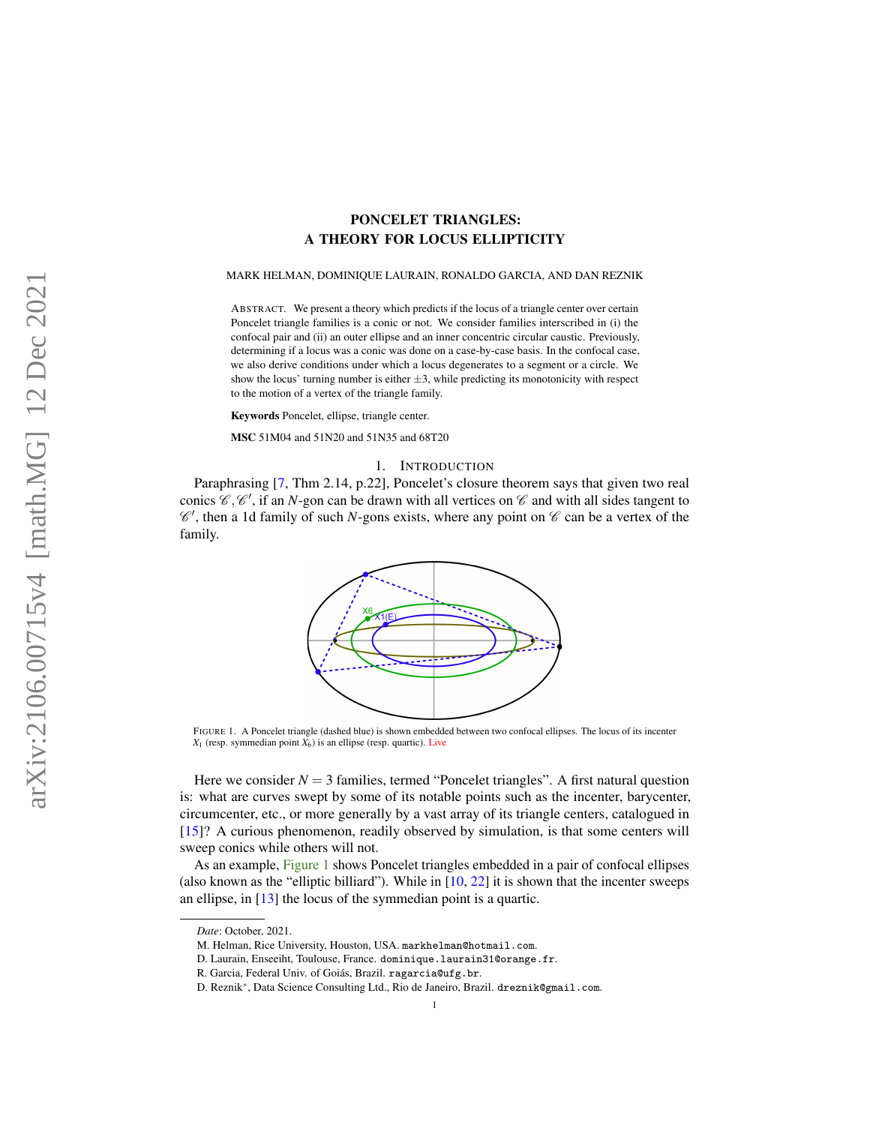# PONCELET TRIANGLES: A THEORY FOR LOCUS ELLIPTICITY

#### <span id="page-0-1"></span>MARK HELMAN, DOMINIQUE LAURAIN, RONALDO GARCIA, AND DAN REZNIK

ABSTRACT. We present a theory which predicts if the locus of a triangle center over certain Poncelet triangle families is a conic or not. We consider families interscribed in (i) the confocal pair and (ii) an outer ellipse and an inner concentric circular caustic. Previously, determining if a locus was a conic was done on a case-by-case basis. In the confocal case, we also derive conditions under which a locus degenerates to a segment or a circle. We show the locus' turning number is either  $\pm 3$ , while predicting its monotonicity with respect to the motion of a vertex of the triangle family.

Keywords Poncelet, ellipse, triangle center.

MSC 51M04 and 51N20 and 51N35 and 68T20

## 1. INTRODUCTION

<span id="page-0-0"></span>Paraphrasing [\[7,](#page-9-0) Thm 2.14, p.22], Poncelet's closure theorem says that given two real conics  $\mathscr{C}, \mathscr{C}'$ , if an *N*-gon can be drawn with all vertices on  $\mathscr{C}$  and with all sides tangent to  $\mathscr{C}'$ , then a 1d family of such *N*-gons exists, where any point on  $\mathscr{C}$  can be a vertex of the family.



FIGURE 1. A Poncelet triangle (dashed blue) is shown embedded between two confocal ellipses. The locus of its incenter  $X_1$  (resp. symmedian point  $X_6$ ) is an ellipse (resp. quartic). [Live](https://bit.ly/3hOad1q)

Here we consider  $N = 3$  families, termed "Poncelet triangles". A first natural question is: what are curves swept by some of its notable points such as the incenter, barycenter, circumcenter, etc., or more generally by a vast array of its triangle centers, catalogued in [\[15\]](#page-9-1)? A curious phenomenon, readily observed by simulation, is that some centers will sweep conics while others will not.

As an example, [Figure 1](#page-0-0) shows Poncelet triangles embedded in a pair of confocal ellipses (also known as the "elliptic billiard"). While in  $[10, 22]$  $[10, 22]$  $[10, 22]$  it is shown that the incenter sweeps an ellipse, in [\[13\]](#page-9-4) the locus of the symmedian point is a quartic.

*Date*: October, 2021.

M. Helman, Rice University, Houston, USA. markhelman@hotmail.com.

D. Laurain, Enseeiht, Toulouse, France. dominique.laurain31@orange.fr.

R. Garcia, Federal Univ. of Goiás, Brazil. ragarcia@ufg.br.

D. Reznik<sup>∗</sup> , Data Science Consulting Ltd., Rio de Janeiro, Brazil. dreznik@gmail.com.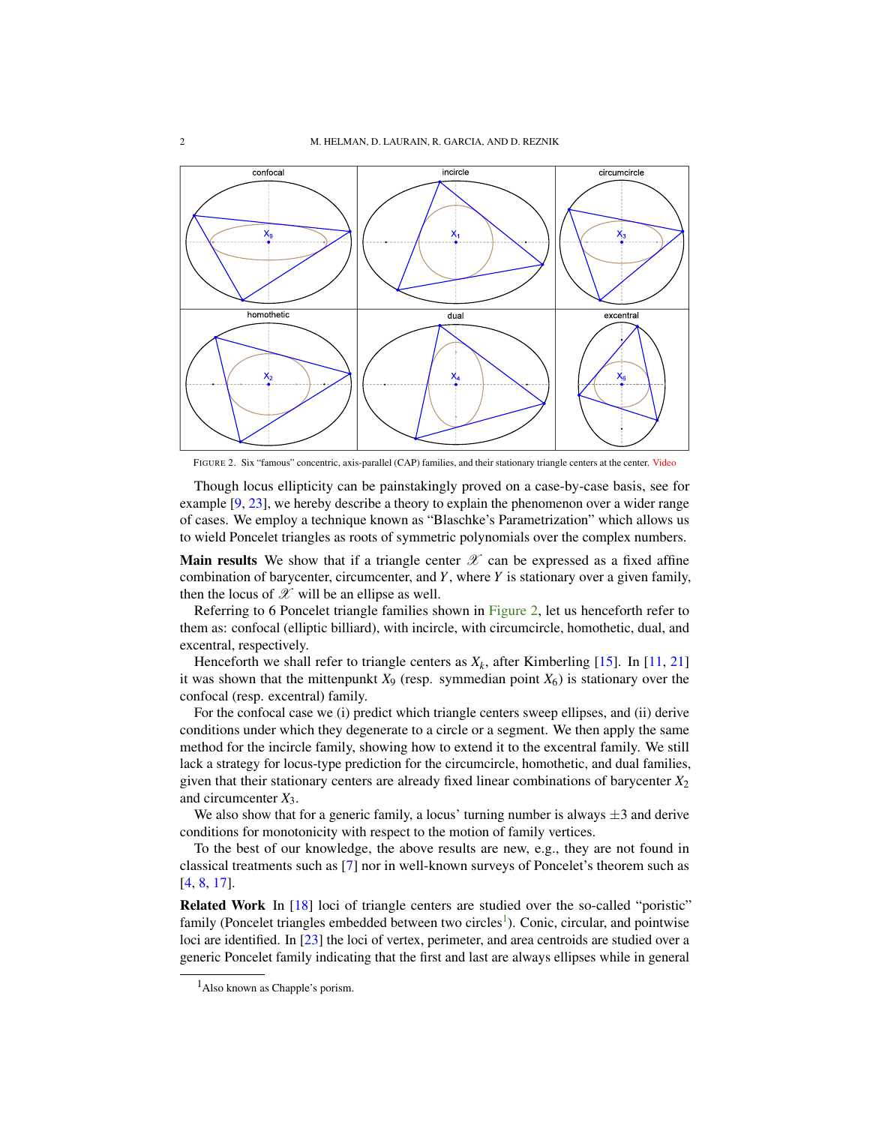<span id="page-1-2"></span><span id="page-1-0"></span>

FIGURE 2. Six "famous" concentric, axis-parallel (CAP) families, and their stationary triangle centers at the center. [Video](https://youtu.be/14TQ5WlZxUw)

Though locus ellipticity can be painstakingly proved on a case-by-case basis, see for example [\[9,](#page-9-5) [23\]](#page-9-6), we hereby describe a theory to explain the phenomenon over a wider range of cases. We employ a technique known as "Blaschke's Parametrization" which allows us to wield Poncelet triangles as roots of symmetric polynomials over the complex numbers.

**Main results** We show that if a triangle center  $\mathcal{X}$  can be expressed as a fixed affine combination of barycenter, circumcenter, and *Y*, where *Y* is stationary over a given family, then the locus of  $\mathscr X$  will be an ellipse as well.

Referring to 6 Poncelet triangle families shown in [Figure 2,](#page-1-0) let us henceforth refer to them as: confocal (elliptic billiard), with incircle, with circumcircle, homothetic, dual, and excentral, respectively.

Henceforth we shall refer to triangle centers as  $X_k$ , after Kimberling [\[15\]](#page-9-1). In [\[11,](#page-9-7) [21\]](#page-9-8) it was shown that the mittenpunkt  $X_9$  (resp. symmedian point  $X_6$ ) is stationary over the confocal (resp. excentral) family.

For the confocal case we (i) predict which triangle centers sweep ellipses, and (ii) derive conditions under which they degenerate to a circle or a segment. We then apply the same method for the incircle family, showing how to extend it to the excentral family. We still lack a strategy for locus-type prediction for the circumcircle, homothetic, and dual families, given that their stationary centers are already fixed linear combinations of barycenter *X*<sup>2</sup> and circumcenter *X*3.

We also show that for a generic family, a locus' turning number is always  $\pm 3$  and derive conditions for monotonicity with respect to the motion of family vertices.

To the best of our knowledge, the above results are new, e.g., they are not found in classical treatments such as [\[7\]](#page-9-0) nor in well-known surveys of Poncelet's theorem such as [\[4,](#page-9-9) [8,](#page-9-10) [17\]](#page-9-11).

Related Work In [\[18\]](#page-9-12) loci of triangle centers are studied over the so-called "poristic" family (Poncelet triangles embedded between two circles<sup>[1](#page-1-1)</sup>). Conic, circular, and pointwise loci are identified. In [\[23\]](#page-9-6) the loci of vertex, perimeter, and area centroids are studied over a generic Poncelet family indicating that the first and last are always ellipses while in general

<span id="page-1-1"></span> $<sup>1</sup>$ Also known as Chapple's porism.</sup>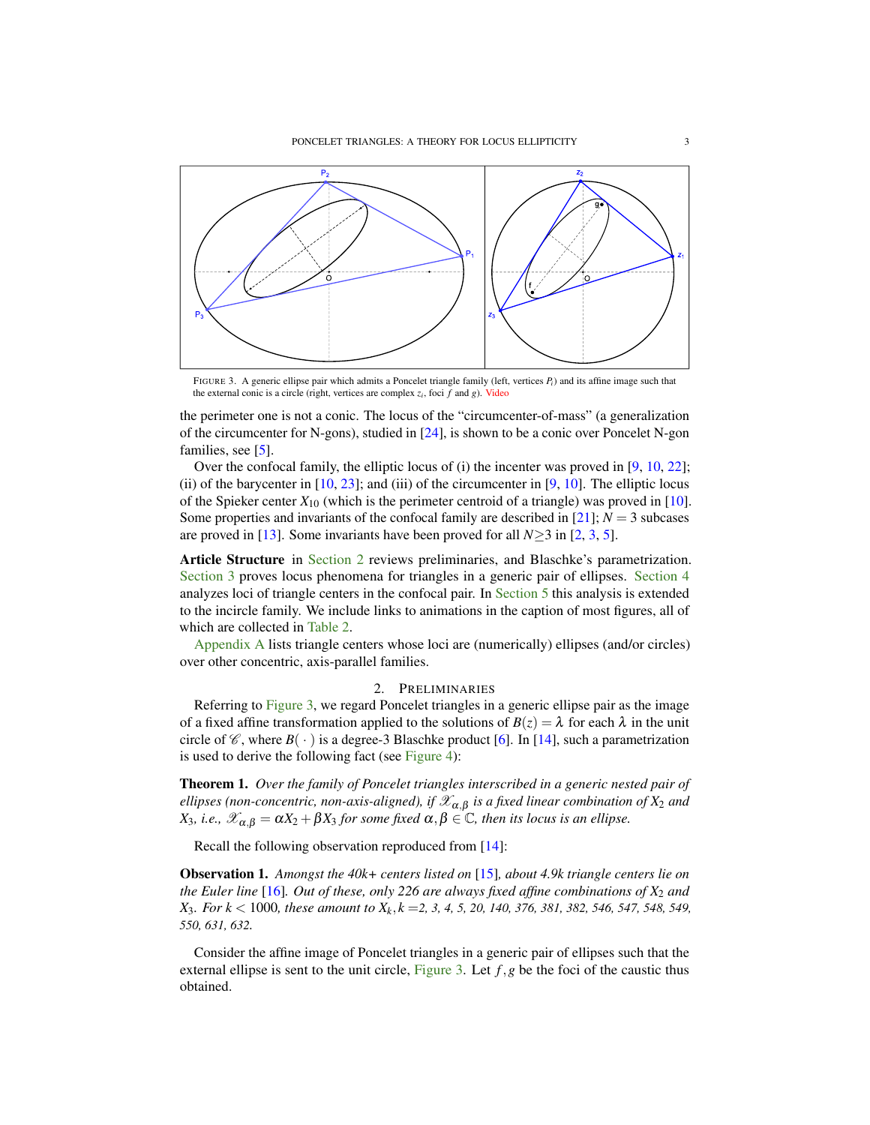<span id="page-2-3"></span><span id="page-2-1"></span>

FIGURE 3. A generic ellipse pair which admits a Poncelet triangle family (left, vertices *Pi*) and its affine image such that the external conic is a circle (right, vertices are complex *z<sup>i</sup>* , foci *f* and *g*). [Video](https://youtu.be/6xSFBLWIkTM)

the perimeter one is not a conic. The locus of the "circumcenter-of-mass" (a generalization of the circumcenter for N-gons), studied in [\[24\]](#page-9-13), is shown to be a conic over Poncelet N-gon families, see [\[5\]](#page-9-14).

Over the confocal family, the elliptic locus of (i) the incenter was proved in [\[9,](#page-9-5) [10,](#page-9-2) [22\]](#page-9-3); (ii) of the barycenter in  $[10, 23]$  $[10, 23]$  $[10, 23]$ ; and (iii) of the circumcenter in  $[9, 10]$  $[9, 10]$  $[9, 10]$ . The elliptic locus of the Spieker center  $X_{10}$  (which is the perimeter centroid of a triangle) was proved in [\[10\]](#page-9-2). Some properties and invariants of the confocal family are described in [\[21\]](#page-9-8);  $N = 3$  subcases are proved in [\[13\]](#page-9-4). Some invariants have been proved for all  $N \geq 3$  in [\[2,](#page-9-15) [3,](#page-9-16) [5\]](#page-9-14).

Article Structure in [Section 2](#page-2-0) reviews preliminaries, and Blaschke's parametrization. [Section 3](#page-3-0) proves locus phenomena for triangles in a generic pair of ellipses. [Section 4](#page-5-0) analyzes loci of triangle centers in the confocal pair. In [Section 5](#page-7-0) this analysis is extended to the incircle family. We include links to animations in the caption of most figures, all of which are collected in [Table 2.](#page-8-0)

<span id="page-2-0"></span>[Appendix A](#page-8-1) lists triangle centers whose loci are (numerically) ellipses (and/or circles) over other concentric, axis-parallel families.

## 2. PRELIMINARIES

Referring to [Figure 3,](#page-2-1) we regard Poncelet triangles in a generic ellipse pair as the image of a fixed affine transformation applied to the solutions of  $B(z) = \lambda$  for each  $\lambda$  in the unit circle of  $\mathscr{C}$ , where  $B(\cdot)$  is a degree-3 Blaschke product [\[6\]](#page-9-17). In [\[14\]](#page-9-18), such a parametrization is used to derive the following fact (see [Figure 4\)](#page-4-0):

<span id="page-2-2"></span>Theorem 1. *Over the family of Poncelet triangles interscribed in a generic nested pair of*  $e$ *llipses (non-concentric, non-axis-aligned), if*  $\mathscr{X}_{\alpha,\beta}$  *is a fixed linear combination of*  $X_2$  *and X*<sub>3</sub>*, i.e.,*  $\mathscr{X}_{\alpha,\beta} = \alpha X_2 + \beta X_3$  *for some fixed*  $\alpha,\beta \in \mathbb{C}$ *, then its locus is an ellipse.* 

Recall the following observation reproduced from [\[14\]](#page-9-18):

Observation 1. *Amongst the 40k+ centers listed on* [\[15\]](#page-9-1)*, about 4.9k triangle centers lie on the Euler line* [\[16\]](#page-9-19)*. Out of these, only 226 are always fixed affine combinations of X*<sup>2</sup> *and X*3*. For k* < 1000*, these amount to X<sup>k</sup>* , *k* =*2, 3, 4, 5, 20, 140, 376, 381, 382, 546, 547, 548, 549, 550, 631, 632.*

Consider the affine image of Poncelet triangles in a generic pair of ellipses such that the external ellipse is sent to the unit circle, [Figure 3.](#page-2-1) Let  $f, g$  be the foci of the caustic thus obtained.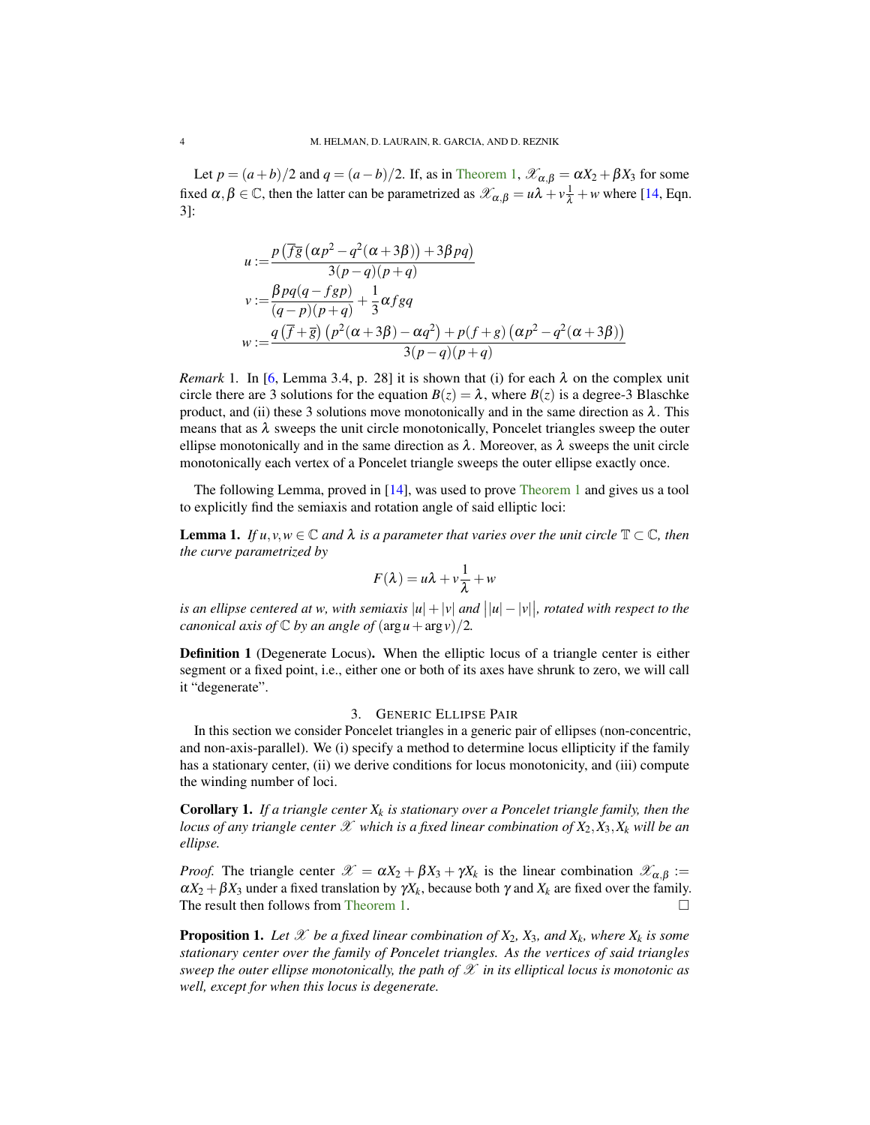<span id="page-3-4"></span>Let  $p = (a + b)/2$  and  $q = (a - b)/2$ . If, as in [Theorem 1,](#page-2-2)  $\mathscr{X}_{\alpha,\beta} = \alpha X_2 + \beta X_3$  for some fixed  $\alpha, \beta \in \mathbb{C}$ , then the latter can be parametrized as  $\mathcal{X}_{\alpha,\beta} = u\lambda + v\frac{1}{\lambda} + w$  where [\[14,](#page-9-18) Eqn. 3]:

$$
u := \frac{p(\overline{fg}(\alpha p^2 - q^2(\alpha + 3\beta)) + 3\beta pq)}{3(p - q)(p + q)}
$$
  
\n
$$
v := \frac{\beta pq(q - fgp)}{(q - p)(p + q)} + \frac{1}{3}\alpha fgq
$$
  
\n
$$
w := \frac{q(\overline{f} + \overline{g}) (p^2(\alpha + 3\beta) - \alpha q^2) + p(f + g) (\alpha p^2 - q^2(\alpha + 3\beta))}{3(p - q)(p + q)}
$$

<span id="page-3-1"></span>*Remark* 1. In [\[6,](#page-9-17) Lemma 3.4, p. 28] it is shown that (i) for each  $\lambda$  on the complex unit circle there are 3 solutions for the equation  $B(z) = \lambda$ , where  $B(z)$  is a degree-3 Blaschke product, and (ii) these 3 solutions move monotonically and in the same direction as  $\lambda$ . This means that as  $\lambda$  sweeps the unit circle monotonically, Poncelet triangles sweep the outer ellipse monotonically and in the same direction as  $\lambda$ . Moreover, as  $\lambda$  sweeps the unit circle monotonically each vertex of a Poncelet triangle sweeps the outer ellipse exactly once.

The following Lemma, proved in [\[14\]](#page-9-18), was used to prove [Theorem 1](#page-2-2) and gives us a tool to explicitly find the semiaxis and rotation angle of said elliptic loci:

<span id="page-3-2"></span>**Lemma 1.** *If*  $u, v, w \in \mathbb{C}$  and  $\lambda$  *is a parameter that varies over the unit circle*  $\mathbb{T} \subset \mathbb{C}$ *, then the curve parametrized by*

$$
F(\lambda) = u\lambda + v\frac{1}{\lambda} + w
$$

*is an ellipse centered at w, with semiaxis*  $|u| + |v|$  *and*  $||u| - |v||$ *, rotated with respect to the canonical axis of*  $\mathbb C$  *by an angle of*  $(\arg u + \arg v)/2$ *.* 

Definition 1 (Degenerate Locus). When the elliptic locus of a triangle center is either segment or a fixed point, i.e., either one or both of its axes have shrunk to zero, we will call it "degenerate".

## 3. GENERIC ELLIPSE PAIR

<span id="page-3-0"></span>In this section we consider Poncelet triangles in a generic pair of ellipses (non-concentric, and non-axis-parallel). We (i) specify a method to determine locus ellipticity if the family has a stationary center, (ii) we derive conditions for locus monotonicity, and (iii) compute the winding number of loci.

<span id="page-3-3"></span>Corollary 1. *If a triangle center X<sup>k</sup> is stationary over a Poncelet triangle family, then the locus of any triangle center*  $\mathscr X$  *which is a fixed linear combination of*  $X_2, X_3, X_k$  *will be an ellipse.*

*Proof.* The triangle center  $\mathscr{X} = \alpha X_2 + \beta X_3 + \gamma X_k$  is the linear combination  $\mathscr{X}_{\alpha,\beta}$  :=  $\alpha X_2 + \beta X_3$  under a fixed translation by  $\gamma X_k$ , because both  $\gamma$  and  $X_k$  are fixed over the family. The result then follows from [Theorem 1.](#page-2-2)

**Proposition 1.** Let  $\mathscr X$  be a fixed linear combination of  $X_2$ ,  $X_3$ , and  $X_k$ , where  $X_k$  is some *stationary center over the family of Poncelet triangles. As the vertices of said triangles sweep the outer ellipse monotonically, the path of* X *in its elliptical locus is monotonic as well, except for when this locus is degenerate.*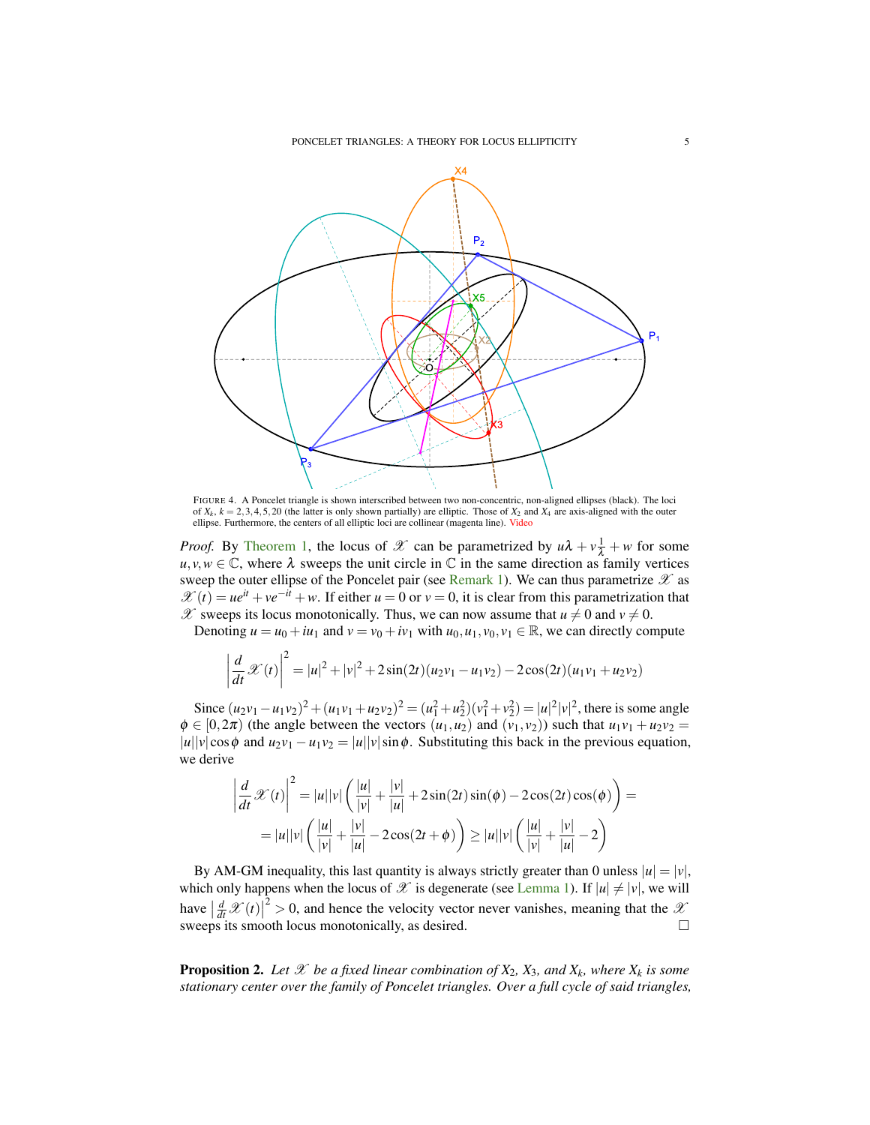<span id="page-4-0"></span>

FIGURE 4. A Poncelet triangle is shown interscribed between two non-concentric, non-aligned ellipses (black). The loci of  $X_k$ ,  $k = 2,3,4,5,20$  (the latter is only shown partially) are elliptic. Those of  $X_2$  and  $X_4$  are axis-aligned with the outer ellipse. Furthermore, the centers of all elliptic loci are collinear (magenta line). [Video](https://youtu.be/p1medAei_As)

*Proof.* By [Theorem 1,](#page-2-2) the locus of  $\mathcal{X}$  can be parametrized by  $u\lambda + v\frac{1}{\lambda} + w$  for some  $u, v, w \in \mathbb{C}$ , where  $\lambda$  sweeps the unit circle in  $\mathbb{C}$  in the same direction as family vertices sweep the outer ellipse of the Poncelet pair (see [Remark 1\)](#page-3-1). We can thus parametrize  $\mathscr X$  as  $\mathscr{X}(t) = ue^{it} + ve^{-it} + w$ . If either  $u = 0$  or  $v = 0$ , it is clear from this parametrization that  $\mathscr X$  sweeps its locus monotonically. Thus, we can now assume that  $u \neq 0$  and  $v \neq 0$ .

Denoting  $u = u_0 + iu_1$  and  $v = v_0 + iv_1$  with  $u_0, u_1, v_0, v_1 \in \mathbb{R}$ , we can directly compute

$$
\left| \frac{d}{dt} \mathcal{X}(t) \right|^2 = |u|^2 + |v|^2 + 2\sin(2t)(u_2v_1 - u_1v_2) - 2\cos(2t)(u_1v_1 + u_2v_2)
$$

Since  $(u_2v_1 - u_1v_2)^2 + (u_1v_1 + u_2v_2)^2 = (u_1^2 + u_2^2)(v_1^2 + v_2^2) = |u|^2|v|^2$ , there is some angle  $\phi \in [0, 2\pi)$  (the angle between the vectors  $(u_1, u_2)$  and  $(v_1, v_2)$ ) such that  $u_1v_1 + u_2v_2 =$  $|u||v|\cos\phi$  and  $u_2v_1 - u_1v_2 = |u||v|\sin\phi$ . Substituting this back in the previous equation, we derive

$$
\left| \frac{d}{dt} \mathcal{X}(t) \right|^2 = |u||v| \left( \frac{|u|}{|v|} + \frac{|v|}{|u|} + 2\sin(2t)\sin(\phi) - 2\cos(2t)\cos(\phi) \right) =
$$
  
= |u||v| \left( \frac{|u|}{|v|} + \frac{|v|}{|u|} - 2\cos(2t + \phi) \right) \ge |u||v| \left( \frac{|u|}{|v|} + \frac{|v|}{|u|} - 2 \right)

By AM-GM inequality, this last quantity is always strictly greater than 0 unless  $|u| = |v|$ , which only happens when the locus of  $\mathscr X$  is degenerate (see [Lemma 1\)](#page-3-2). If  $|u| \neq |v|$ , we will have  $\left| \frac{d}{dt} \mathcal{X}(t) \right|$  $2^2 > 0$ , and hence the velocity vector never vanishes, meaning that the  $\mathcal{X}$ sweeps its smooth locus monotonically, as desired.

**Proposition 2.** Let  $\mathscr X$  be a fixed linear combination of  $X_2$ ,  $X_3$ , and  $X_k$ , where  $X_k$  is some *stationary center over the family of Poncelet triangles. Over a full cycle of said triangles,*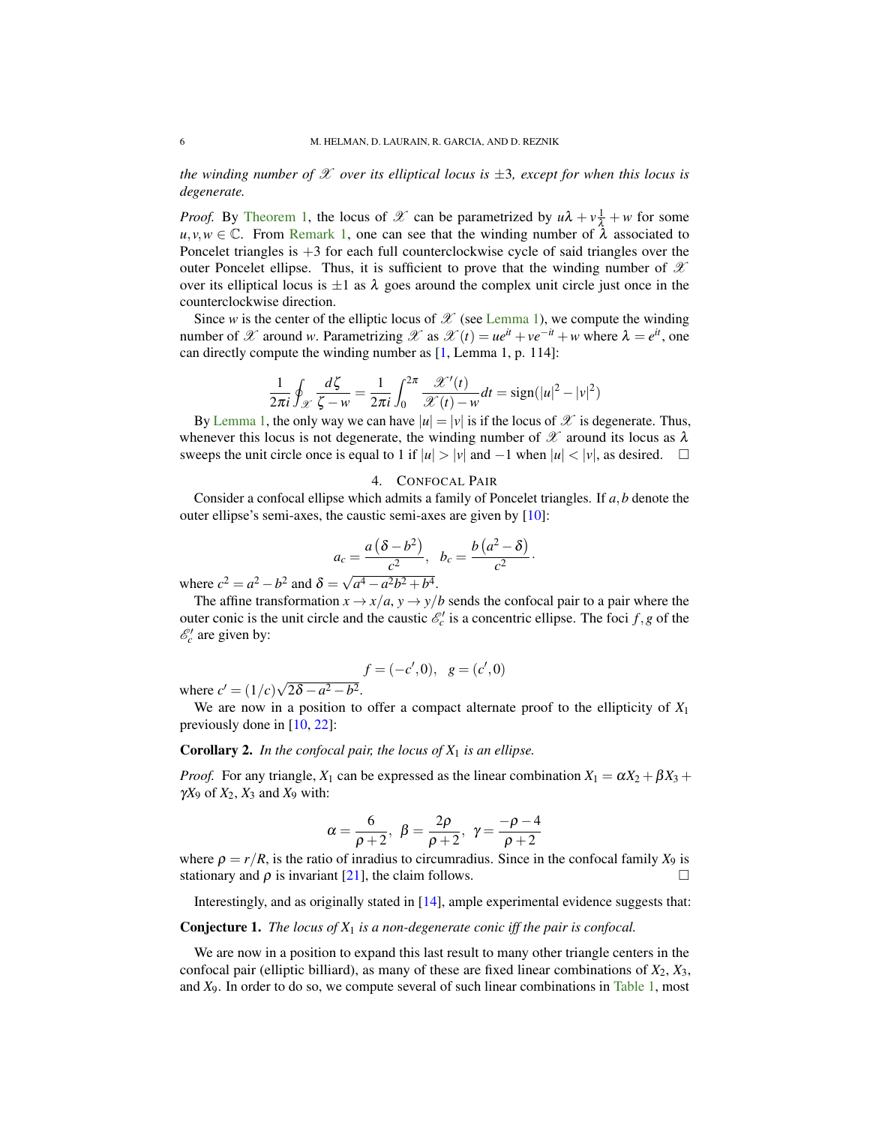<span id="page-5-3"></span>*the winding number of*  $\mathscr X$  *over its elliptical locus is*  $\pm 3$ *, except for when this locus is degenerate.*

*Proof.* By [Theorem 1,](#page-2-2) the locus of  $\mathcal X$  can be parametrized by  $u\lambda + v\frac{1}{\lambda} + w$  for some  $u, v, w \in \mathbb{C}$ . From [Remark 1,](#page-3-1) one can see that the winding number of  $\lambda$  associated to Poncelet triangles is  $+3$  for each full counterclockwise cycle of said triangles over the outer Poncelet ellipse. Thus, it is sufficient to prove that the winding number of  $\mathscr X$ over its elliptical locus is  $\pm 1$  as  $\lambda$  goes around the complex unit circle just once in the counterclockwise direction.

Since *w* is the center of the elliptic locus of  $\mathscr X$  (see [Lemma 1\)](#page-3-2), we compute the winding number of X around *w*. Parametrizing X as  $\mathcal{X}(t) = ue^{it} + ve^{-it} + w$  where  $\lambda = e^{it}$ , one can directly compute the winding number as [\[1,](#page-9-20) Lemma 1, p. 114]:

$$
\frac{1}{2\pi i}\oint_{\mathcal{X}}\frac{d\zeta}{\zeta-w}=\frac{1}{2\pi i}\int_0^{2\pi}\frac{\mathcal{X}'(t)}{\mathcal{X}(t)-w}dt=\text{sign}(|u|^2-|v|^2)
$$

By [Lemma 1,](#page-3-2) the only way we can have  $|u| = |v|$  is if the locus of  $\mathscr X$  is degenerate. Thus, whenever this locus is not degenerate, the winding number of  $\mathscr X$  around its locus as  $\lambda$ sweeps the unit circle once is equal to 1 if  $|u| > |v|$  and  $-1$  when  $|u| < |v|$ , as desired.  $\square$ 

### 4. CONFOCAL PAIR

<span id="page-5-0"></span>Consider a confocal ellipse which admits a family of Poncelet triangles. If *a*,*b* denote the outer ellipse's semi-axes, the caustic semi-axes are given by [\[10\]](#page-9-2):

$$
a_c = \frac{a(\delta - b^2)}{c^2}, \quad b_c = \frac{b(a^2 - \delta)}{c^2}
$$

·

where  $c^2 = a^2 - b^2$  and  $\delta =$  $a^4 - a^2b^2 + b^4$ .

The affine transformation  $x \rightarrow x/a$ ,  $y \rightarrow y/b$  sends the confocal pair to a pair where the outer conic is the unit circle and the caustic  $\mathcal{E}'_c$  is a concentric ellipse. The foci  $f, g$  of the  $\mathcal{E}'_c$  are given by:

$$
f = (-c', 0), \ g = (c', 0)
$$

where  $c' = (1/c)\sqrt{ }$  $2\delta - a^2 - b^2$ .

We are now in a position to offer a compact alternate proof to the ellipticity of *X*<sup>1</sup> previously done in [\[10,](#page-9-2) [22\]](#page-9-3):

<span id="page-5-1"></span>Corollary 2. *In the confocal pair, the locus of X*<sup>1</sup> *is an ellipse.*

*Proof.* For any triangle,  $X_1$  can be expressed as the linear combination  $X_1 = \alpha X_2 + \beta X_3 + \beta X_4$ γ*X*<sup>9</sup> of *X*2, *X*<sup>3</sup> and *X*<sup>9</sup> with:

$$
\alpha = \frac{6}{\rho + 2}, \ \beta = \frac{2\rho}{\rho + 2}, \ \gamma = \frac{-\rho - 4}{\rho + 2}
$$

where  $\rho = r/R$ , is the ratio of inradius to circumradius. Since in the confocal family  $X_9$  is stationary and  $\rho$  is invariant [\[21\]](#page-9-8), the claim follows.

Interestingly, and as originally stated in [\[14\]](#page-9-18), ample experimental evidence suggests that:

## <span id="page-5-2"></span>Conjecture 1. *The locus of X*<sup>1</sup> *is a non-degenerate conic iff the pair is confocal.*

We are now in a position to expand this last result to many other triangle centers in the confocal pair (elliptic billiard), as many of these are fixed linear combinations of  $X_2, X_3$ , and *X*9. In order to do so, we compute several of such linear combinations in [Table 1,](#page-6-0) most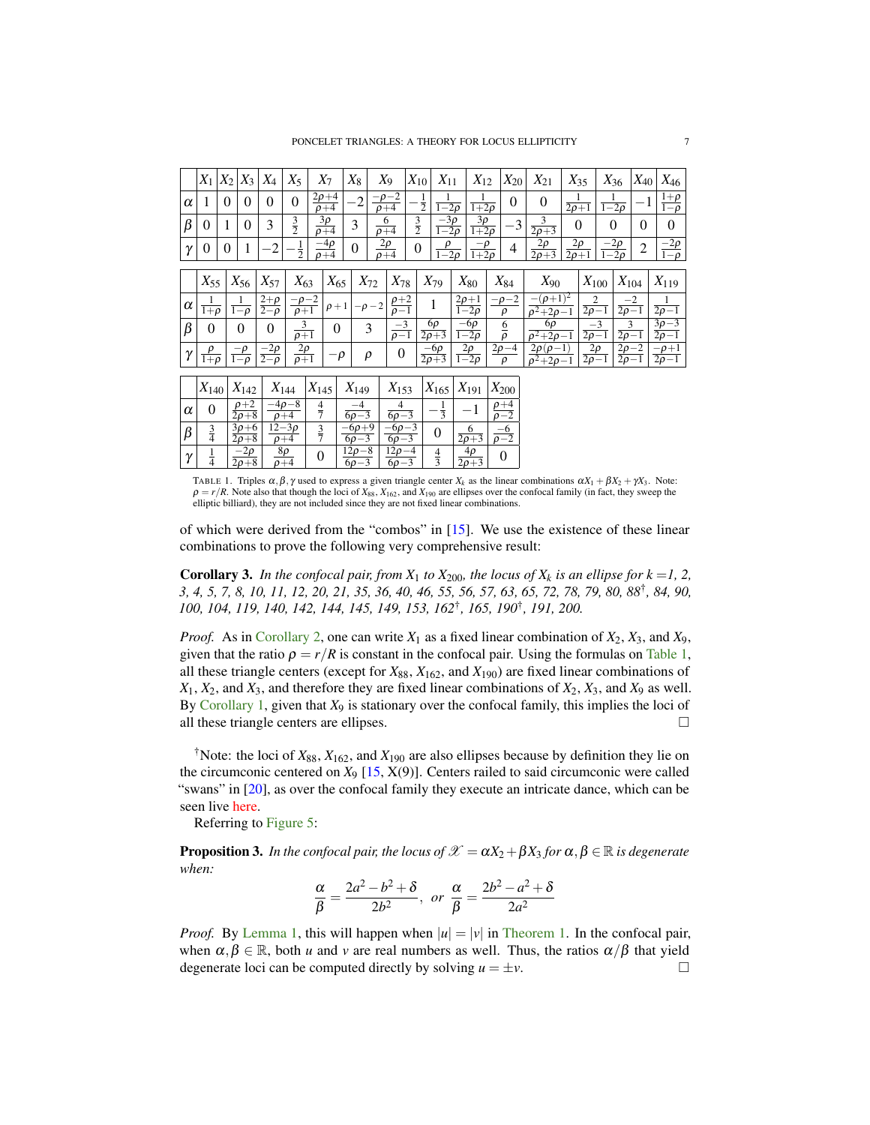<span id="page-6-1"></span><span id="page-6-0"></span>

|          | $X_1 X_2$             |          | $X_3$                            | $X_4$                           | $X_5$                               | $X_7$                              | $X_8$                     |           | $X_9$                              | $X_{10}$                   | $X_{11}$                                    | $X_{12}$                        | $X_{20}$                          | $X_{21}$                                   | $X_{35}$                        |                                      | $X_{36}$                           | $X_{40}$       | $X_{46}$                          |
|----------|-----------------------|----------|----------------------------------|---------------------------------|-------------------------------------|------------------------------------|---------------------------|-----------|------------------------------------|----------------------------|---------------------------------------------|---------------------------------|-----------------------------------|--------------------------------------------|---------------------------------|--------------------------------------|------------------------------------|----------------|-----------------------------------|
| $\alpha$ | 1                     | $\theta$ | $\theta$                         | 0                               | $\theta$                            | $2\rho + 4$<br>$\overline{\rho+4}$ | $-2$                      |           | $-\rho - 2$<br>$\rho + 4$          | $\frac{1}{2}$              | 1<br>$\frac{1}{1-2\rho}$                    | 1<br>$\overline{1+2\rho}$       | $\theta$                          | $\theta$                                   | $\overline{2\rho+1}$            |                                      | 1<br>$\frac{1}{1-2\rho}$           | $-1$           | $rac{1+\rho}{1-\rho}$             |
| $\beta$  | $\Omega$              | 1        | $\Omega$                         | 3                               | $rac{3}{2}$                         | $\overline{3}\rho$<br>$\rho + 4$   | 3                         |           | 6<br>$\overline{\rho+4}$           | $rac{3}{2}$                | $-\overline{3}\rho$<br>$\overline{1-2\rho}$ | $3\rho$<br>$\overline{1+2\rho}$ | $-3$                              | 3<br>$\sqrt{2\rho+3}$                      | $\Omega$                        |                                      | $\theta$                           | $\theta$       | $\theta$                          |
| γ        | 0                     | $\theta$ | 1                                | $\cdot$ 2                       | $\frac{1}{2}$                       | $\frac{-4\rho}{\rho+4}$            | $\theta$                  |           | $\frac{2\rho}{\rho+4}$             | 0                          | ρ<br>$1-2\rho$                              | $\frac{-\rho}{1+2\rho}$         | 4                                 | $2\rho$<br>$\overline{2\rho+3}$            | $2\rho$<br>$\overline{2\rho+1}$ |                                      | $\frac{-2\rho}{1-2\rho}$           | $\overline{2}$ | $\frac{-2\rho}{1-\rho}$           |
|          | $X_{55}$              |          | $X_{56}$                         | $X_{57}$                        | $X_{63}$                            | $X_{65}$                           |                           | $X_{72}$  | $X_{78}$                           | $X_{79}$                   |                                             | $X_{80}$                        | $X_{84}$                          | $X_{90}$                                   |                                 | $X_{100}$                            | $X_{104}$                          |                | $X_{119}$                         |
|          |                       |          |                                  |                                 |                                     |                                    |                           |           |                                    |                            |                                             |                                 |                                   |                                            |                                 |                                      |                                    |                |                                   |
| $\alpha$ | 1<br>$1+\rho$         |          | 1<br>$\overline{1-\rho}$         | $2+\rho$<br>$\overline{2-\rho}$ | $-\rho - 2$<br>$\rho+1$             | $\rho + 1$                         |                           | $-\rho-2$ | $\frac{\rho+2}{\rho-1}$            |                            | 1                                           | $\frac{2\rho+1}{1-2\rho}$       | $p-2$<br>$\rho$                   | $-(\rho+1)^2$<br>$\sqrt{\rho^2+2\rho-1}$   |                                 | $\boldsymbol{2}$<br>$\sqrt{2\rho-1}$ | $\overline{2\rho-1}$               | $^{-2}$        | $\overline{2\rho-1}$              |
| $\beta$  | $\Omega$              |          | $\Omega$                         | $\theta$                        | $\frac{3}{\rho+1}$                  | $\overline{0}$                     |                           | 3         | $\frac{-3}{\rho-1}$                | 6ρ<br>$\overline{2\rho+3}$ |                                             | $\frac{-6\rho}{1-2\rho}$        | $rac{6}{\rho}$                    | 6ρ<br>$\rho^2+2\rho-1$                     |                                 | $-3$<br>$\overline{2\rho-1}$         | 3<br>$\overline{2\rho-1}$          |                | $3\rho-3$<br>$\overline{2\rho-1}$ |
| γ        | $\frac{\rho}{1+\rho}$ |          | $-\rho$<br>$1-\rho$              | $\frac{-2\rho}{2-\rho}$         | $\frac{2\rho}{\rho+1}$              | $-\rho$                            |                           | $\rho$    | $\boldsymbol{0}$                   | $\frac{-6\rho}{2\rho+3}$   |                                             | $\frac{2\rho}{1-2\rho}$         | $2\rho - 4$<br>$\rho$             | $2\rho(\rho-1)$<br>$\sqrt{\rho^2+2\rho-1}$ |                                 | $2\rho$<br>$2\rho-1$                 | $2\rho - 2$<br>$\frac{1}{2\rho-1}$ |                | $-\rho+1$<br>$\frac{1}{2\rho-1}$  |
|          |                       |          |                                  |                                 |                                     |                                    |                           |           |                                    |                            |                                             |                                 |                                   |                                            |                                 |                                      |                                    |                |                                   |
|          | $ X_{140} $           |          | $X_{142}$                        |                                 | $X_{144}$                           | $X_{145}$                          | $X_{149}$                 |           | $X_{153}$                          |                            | $X_{165}$                                   | $X_{191}$                       | $X_{200}$                         |                                            |                                 |                                      |                                    |                |                                   |
| $\alpha$ | $\theta$              |          | $\rho+2$<br>$\overline{2\rho+8}$ |                                 | $-4\rho - 8$<br>$\rho + 4$          | $\frac{4}{7}$                      | $-4$<br>$6\rho-3$         |           | $\overline{4}$<br>$\sqrt{6\rho-3}$ |                            | $\frac{1}{3}$                               | $^{-1}$                         | $\rho + 4$<br>$\overline{\rho-2}$ |                                            |                                 |                                      |                                    |                |                                   |
| $\beta$  | $\frac{3}{4}$         |          | $3\rho + 6$<br>$\sqrt{2\rho+8}$  |                                 | $\overline{12-3\rho}$<br>$\rho + 4$ | $rac{3}{7}$                        | $-6\rho + 9$<br>$6\rho-3$ |           | $-6\rho - 3$<br>$6\rho-3$          |                            | $\boldsymbol{0}$                            | 6<br>$\sqrt{2\rho+3}$           | $\frac{-6}{\rho-2}$               |                                            |                                 |                                      |                                    |                |                                   |
| γ        | $\frac{1}{4}$         |          | $-2\rho$<br>$\frac{2\rho+8}{}$   | $8\rho$<br>$\overline{\rho+4}$  |                                     | $\boldsymbol{0}$                   | $12\rho - 8$<br>$6\rho-3$ |           | $12\rho - 4$<br>$6\rho-3$          |                            | $\frac{4}{3}$                               | $4\rho$<br>$\overline{2\rho+3}$ | $\theta$                          |                                            |                                 |                                      |                                    |                |                                   |

TABLE 1. Triples  $\alpha, \beta, \gamma$  used to express a given triangle center  $X_k$  as the linear combinations  $\alpha X_1 + \beta X_2 + \gamma X_3$ . Note:  $\rho = r/R$ . Note also that though the loci of  $X_{88}$ ,  $X_{162}$ , and  $X_{190}$  are ellipses over the confocal family (in fact, they sweep the elliptic billiard), they are not included since they are not fixed linear combinati

of which were derived from the "combos" in [\[15\]](#page-9-1). We use the existence of these linear combinations to prove the following very comprehensive result:

**Corollary 3.** In the confocal pair, from  $X_1$  to  $X_{200}$ , the locus of  $X_k$  is an ellipse for  $k = 1, 2$ , *3, 4, 5, 7, 8, 10, 11, 12, 20, 21, 35, 36, 40, 46, 55, 56, 57, 63, 65, 72, 78, 79, 80, 88*† *, 84, 90, 100, 104, 119, 140, 142, 144, 145, 149, 153, 162*† *, 165, 190*† *, 191, 200.*

*Proof.* As in [Corollary 2,](#page-5-1) one can write *X*<sup>1</sup> as a fixed linear combination of *X*2, *X*3, and *X*9, given that the ratio  $\rho = r/R$  is constant in the confocal pair. Using the formulas on [Table 1,](#page-6-0) all these triangle centers (except for  $X_{88}$ ,  $X_{162}$ , and  $X_{190}$ ) are fixed linear combinations of  $X_1, X_2,$  and  $X_3$ , and therefore they are fixed linear combinations of  $X_2, X_3$ , and  $X_9$  as well. By [Corollary 1,](#page-3-3) given that *X*<sup>9</sup> is stationary over the confocal family, this implies the loci of all these triangle centers are ellipses.  $\Box$ 

<sup>†</sup>Note: the loci of  $X_{88}$ ,  $X_{162}$ , and  $X_{190}$  are also ellipses because by definition they lie on the circumconic centered on  $X_9$  [\[15,](#page-9-1) X(9)]. Centers railed to said circumconic were called "swans" in [\[20\]](#page-9-21), as over the confocal family they execute an intricate dance, which can be seen live [here.](https://bit.ly/3yTGxqe)

Referring to [Figure 5:](#page-7-1)

**Proposition 3.** *In the confocal pair, the locus of*  $\mathcal{X} = \alpha X_2 + \beta X_3$  *for*  $\alpha, \beta \in \mathbb{R}$  *is degenerate when:*

$$
\frac{\alpha}{\beta} = \frac{2a^2 - b^2 + \delta}{2b^2}, \text{ or } \frac{\alpha}{\beta} = \frac{2b^2 - a^2 + \delta}{2a^2}
$$

*Proof.* By [Lemma 1,](#page-3-2) this will happen when  $|u| = |v|$  in [Theorem 1.](#page-2-2) In the confocal pair, when  $\alpha, \beta \in \mathbb{R}$ , both *u* and *v* are real numbers as well. Thus, the ratios  $\alpha/\beta$  that yield degenerate loci can be computed directly by solving  $u = \pm v$ .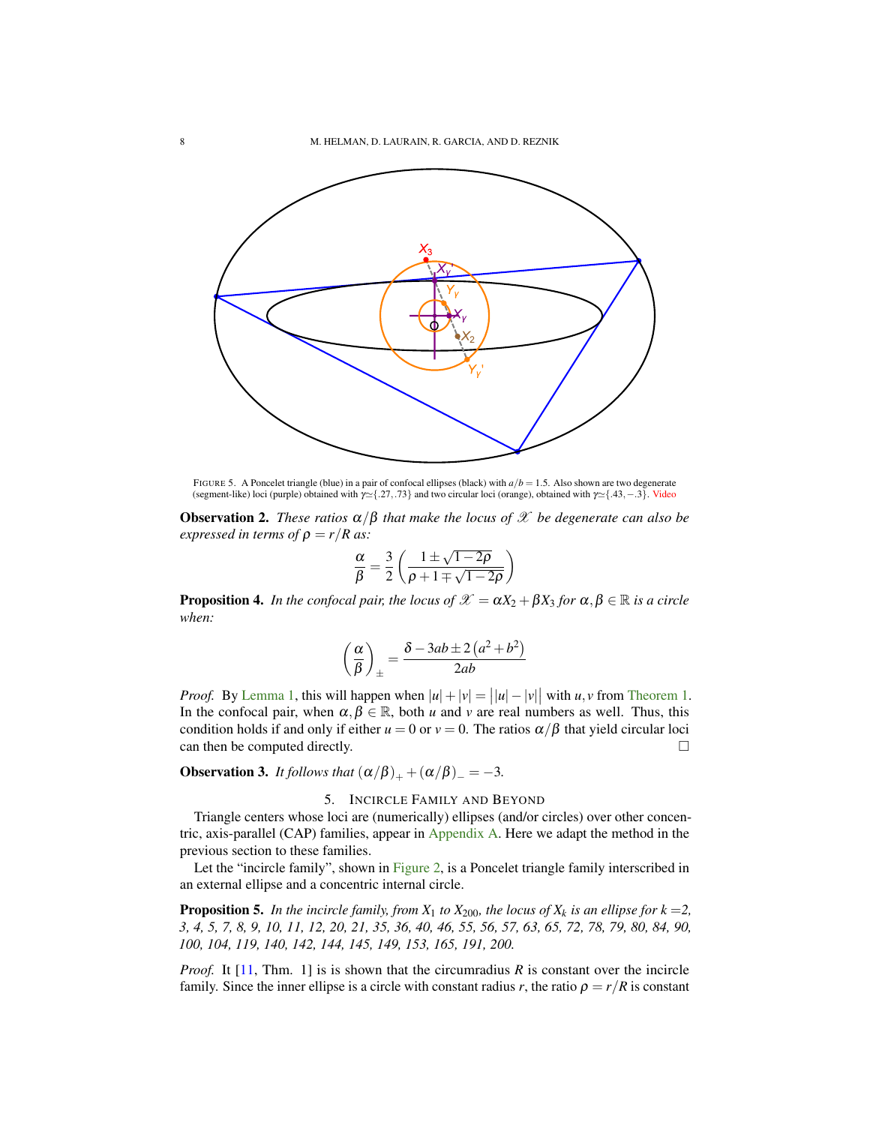<span id="page-7-2"></span><span id="page-7-1"></span>

FIGURE 5. A Poncelet triangle (blue) in a pair of confocal ellipses (black) with  $a/b = 1.5$ . Also shown are two degenerate (segment-like) loci (purple) obtained with  $\gamma \approx \{.27, .73\}$  and two circular loci (orange), obtained with  $\gamma \approx \{.43, -.3\}$ . [Video](https://youtu.be/haFTsq5UyK4)

**Observation 2.** *These ratios*  $\alpha/\beta$  *that make the locus of*  $\mathcal X$  *be degenerate can also be expressed in terms of*  $\rho = r/R$  *as:* 

$$
\frac{\alpha}{\beta} = \frac{3}{2} \left( \frac{1 \pm \sqrt{1 - 2\rho}}{\rho + 1 \mp \sqrt{1 - 2\rho}} \right)
$$

**Proposition 4.** *In the confocal pair, the locus of*  $\mathscr{X} = \alpha X_2 + \beta X_3$  *for*  $\alpha, \beta \in \mathbb{R}$  *is a circle when:*

$$
\left(\frac{\alpha}{\beta}\right)_{\pm} = \frac{\delta - 3ab \pm 2\left(a^2 + b^2\right)}{2ab}
$$

*Proof.* By [Lemma 1,](#page-3-2) this will happen when  $|u| + |v| = ||u| - |v||$  with *u*, *v* from [Theorem 1.](#page-2-2) In the confocal pair, when  $\alpha, \beta \in \mathbb{R}$ , both *u* and *v* are real numbers as well. Thus, this condition holds if and only if either  $u = 0$  or  $v = 0$ . The ratios  $\alpha/\beta$  that yield circular loci  $\Box$  can then be computed directly.

**Observation 3.** *It follows that*  $(\alpha/\beta)_{+} + (\alpha/\beta)_{-} = -3$ *.* 

# 5. INCIRCLE FAMILY AND BEYOND

<span id="page-7-0"></span>Triangle centers whose loci are (numerically) ellipses (and/or circles) over other concentric, axis-parallel (CAP) families, appear in [Appendix A.](#page-8-1) Here we adapt the method in the previous section to these families.

Let the "incircle family", shown in [Figure 2,](#page-1-0) is a Poncelet triangle family interscribed in an external ellipse and a concentric internal circle.

**Proposition 5.** In the incircle family, from  $X_1$  to  $X_{200}$ , the locus of  $X_k$  is an ellipse for  $k = 2$ , *3, 4, 5, 7, 8, 9, 10, 11, 12, 20, 21, 35, 36, 40, 46, 55, 56, 57, 63, 65, 72, 78, 79, 80, 84, 90, 100, 104, 119, 140, 142, 144, 145, 149, 153, 165, 191, 200.*

*Proof.* It [\[11,](#page-9-7) Thm. 1] is is shown that the circumradius *R* is constant over the incircle family. Since the inner ellipse is a circle with constant radius *r*, the ratio  $\rho = r/R$  is constant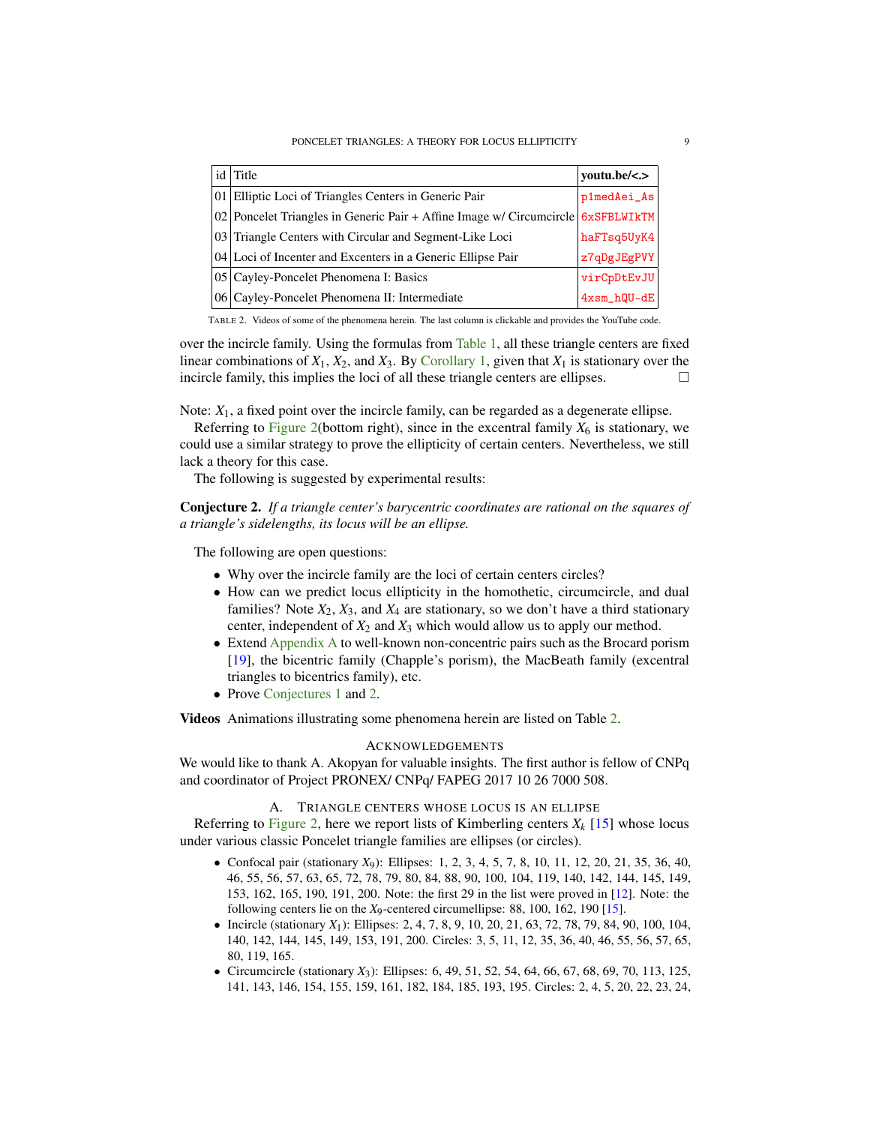<span id="page-8-3"></span><span id="page-8-0"></span>

| $id$ Title                                                                         | youtu.be/<.>  |
|------------------------------------------------------------------------------------|---------------|
| 01 Elliptic Loci of Triangles Centers in Generic Pair                              | p1medAei_As   |
| 02 Poncelet Triangles in Generic Pair + Affine Image w/ Circumcircle $6xSFBLWIKTM$ |               |
| 03 Triangle Centers with Circular and Segment-Like Loci                            | haFTsq5UyK4   |
| 04 Loci of Incenter and Excenters in a Generic Ellipse Pair                        | z7qDgJEgPVY   |
| 05 Cayley-Poncelet Phenomena I: Basics                                             | virCpDtEvJU   |
| 06 Cayley-Poncelet Phenomena II: Intermediate                                      | $4xsm_hQU-dE$ |

TABLE 2. Videos of some of the phenomena herein. The last column is clickable and provides the YouTube code.

over the incircle family. Using the formulas from [Table 1,](#page-6-0) all these triangle centers are fixed linear combinations of  $X_1$ ,  $X_2$ , and  $X_3$ . By [Corollary 1,](#page-3-3) given that  $X_1$  is stationary over the incircle family, this implies the loci of all these triangle centers are ellipses.

Note:  $X_1$ , a fixed point over the incircle family, can be regarded as a degenerate ellipse.

Referring to [Figure 2\(](#page-1-0)bottom right), since in the excentral family  $X_6$  is stationary, we could use a similar strategy to prove the ellipticity of certain centers. Nevertheless, we still lack a theory for this case.

The following is suggested by experimental results:

<span id="page-8-2"></span>Conjecture 2. *If a triangle center's barycentric coordinates are rational on the squares of a triangle's sidelengths, its locus will be an ellipse.*

The following are open questions:

- Why over the incircle family are the loci of certain centers circles?
- How can we predict locus ellipticity in the homothetic, circumcircle, and dual families? Note  $X_2$ ,  $X_3$ , and  $X_4$  are stationary, so we don't have a third stationary center, independent of  $X_2$  and  $X_3$  which would allow us to apply our method.
- Extend [Appendix A](#page-8-1) to well-known non-concentric pairs such as the Brocard porism [\[19\]](#page-9-22), the bicentric family (Chapple's porism), the MacBeath family (excentral triangles to bicentrics family), etc.
- Prove [Conjectures 1](#page-5-2) and [2.](#page-8-2)

Videos Animations illustrating some phenomena herein are listed on Table [2.](#page-8-0)

## ACKNOWLEDGEMENTS

<span id="page-8-1"></span>We would like to thank A. Akopyan for valuable insights. The first author is fellow of CNPq and coordinator of Project PRONEX/ CNPq/ FAPEG 2017 10 26 7000 508.

## A. TRIANGLE CENTERS WHOSE LOCUS IS AN ELLIPSE

Referring to [Figure 2,](#page-1-0) here we report lists of Kimberling centers  $X_k$  [\[15\]](#page-9-1) whose locus under various classic Poncelet triangle families are ellipses (or circles).

- Confocal pair (stationary *X*9): Ellipses: 1, 2, 3, 4, 5, 7, 8, 10, 11, 12, 20, 21, 35, 36, 40, 46, 55, 56, 57, 63, 65, 72, 78, 79, 80, 84, 88, 90, 100, 104, 119, 140, 142, 144, 145, 149, 153, 162, 165, 190, 191, 200. Note: the first 29 in the list were proved in [\[12\]](#page-9-23). Note: the following centers lie on the *X*9-centered circumellipse: 88, 100, 162, 190 [\[15\]](#page-9-1).
- Incircle (stationary *X*1): Ellipses: 2, 4, 7, 8, 9, 10, 20, 21, 63, 72, 78, 79, 84, 90, 100, 104, 140, 142, 144, 145, 149, 153, 191, 200. Circles: 3, 5, 11, 12, 35, 36, 40, 46, 55, 56, 57, 65, 80, 119, 165.
- Circumcircle (stationary *X*3): Ellipses: 6, 49, 51, 52, 54, 64, 66, 67, 68, 69, 70, 113, 125, 141, 143, 146, 154, 155, 159, 161, 182, 184, 185, 193, 195. Circles: 2, 4, 5, 20, 22, 23, 24,